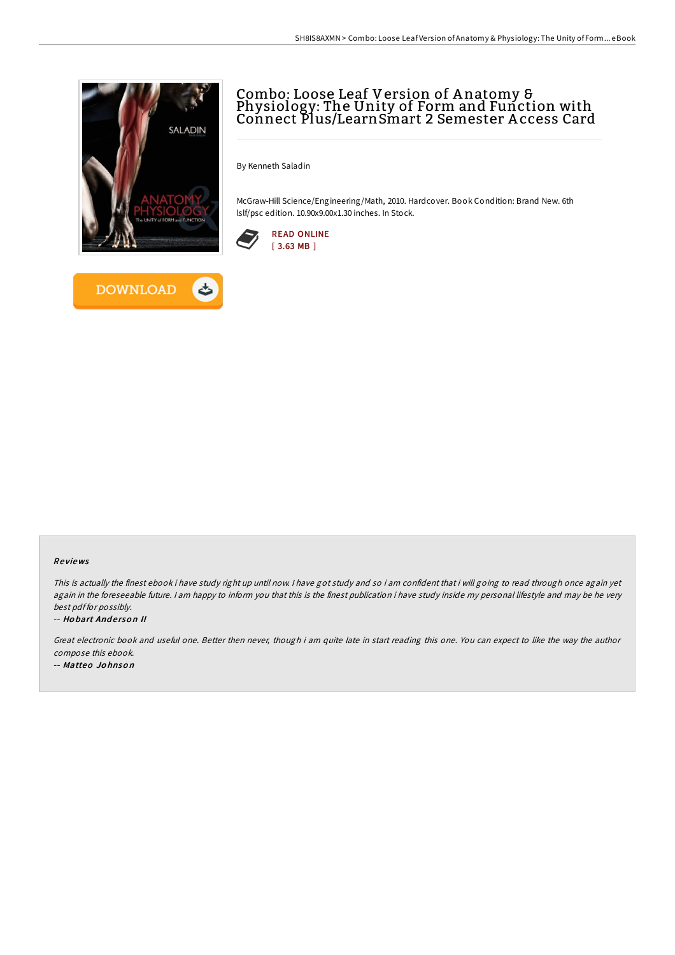

**DOWNLOAD** 

# Combo: Loose Leaf Version of A natomy & Physiology: The Unity of Form and Function with Connect Plus/LearnSmart 2 Semester A ccess Card

By Kenneth Saladin

McGraw-Hill Science/Engineering/Math, 2010. Hardcover. Book Condition: Brand New. 6th lslf/psc edition. 10.90x9.00x1.30 inches. In Stock.



#### Re views

This is actually the finest ebook i have study right up until now. <sup>I</sup> have got study and so i am confident that i will going to read through once again yet again in the foreseeable future. I am happy to inform you that this is the finest publication i have study inside my personal lifestyle and may be he very best pdf for possibly.

#### -- Hobart Anderson II

Great electronic book and useful one. Better then never, though i am quite late in start reading this one. You can expect to like the way the author compose this ebook.

-- Matteo Jo hnso <sup>n</sup>